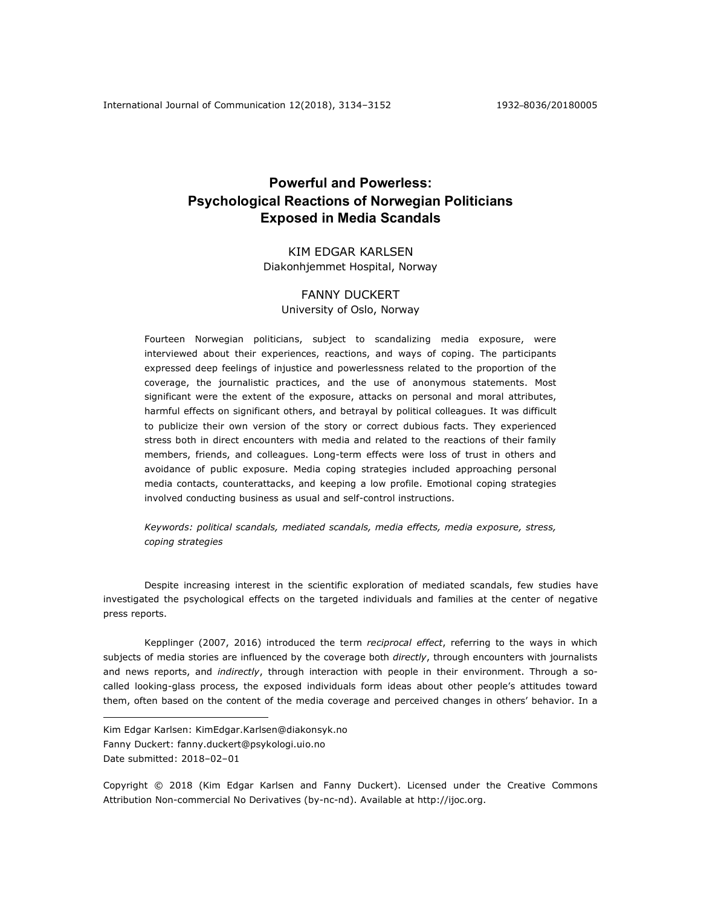# **Powerful and Powerless: Psychological Reactions of Norwegian Politicians Exposed in Media Scandals**

# KIM EDGAR KARLSEN Diakonhjemmet Hospital, Norway

# FANNY DUCKERT University of Oslo, Norway

Fourteen Norwegian politicians, subject to scandalizing media exposure, were interviewed about their experiences, reactions, and ways of coping. The participants expressed deep feelings of injustice and powerlessness related to the proportion of the coverage, the journalistic practices, and the use of anonymous statements. Most significant were the extent of the exposure, attacks on personal and moral attributes, harmful effects on significant others, and betrayal by political colleagues. It was difficult to publicize their own version of the story or correct dubious facts. They experienced stress both in direct encounters with media and related to the reactions of their family members, friends, and colleagues. Long-term effects were loss of trust in others and avoidance of public exposure. Media coping strategies included approaching personal media contacts, counterattacks, and keeping a low profile. Emotional coping strategies involved conducting business as usual and self-control instructions.

*Keywords: political scandals, mediated scandals, media effects, media exposure, stress, coping strategies*

Despite increasing interest in the scientific exploration of mediated scandals, few studies have investigated the psychological effects on the targeted individuals and families at the center of negative press reports.

Kepplinger (2007, 2016) introduced the term *reciprocal effect*, referring to the ways in which subjects of media stories are influenced by the coverage both *directly*, through encounters with journalists and news reports, and *indirectly*, through interaction with people in their environment. Through a socalled looking-glass process, the exposed individuals form ideas about other people's attitudes toward them, often based on the content of the media coverage and perceived changes in others' behavior. In a

<u>.</u>

Copyright © 2018 (Kim Edgar Karlsen and Fanny Duckert). Licensed under the Creative Commons Attribution Non-commercial No Derivatives (by-nc-nd). Available at http://ijoc.org.

Kim Edgar Karlsen: KimEdgar.Karlsen@diakonsyk.no Fanny Duckert: fanny.duckert@psykologi.uio.no Date submitted: 2018–02–01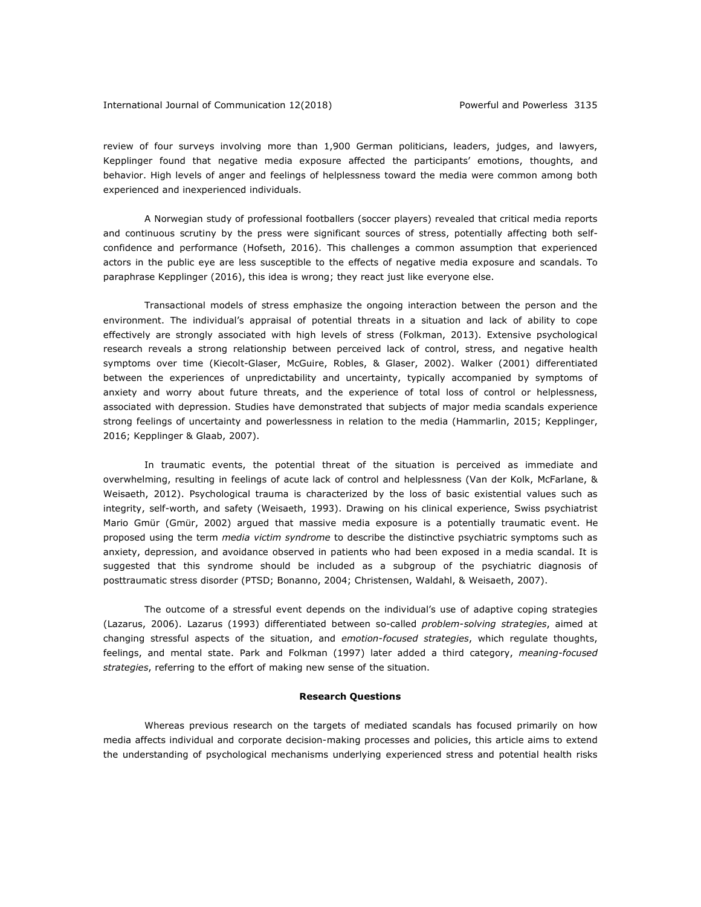review of four surveys involving more than 1,900 German politicians, leaders, judges, and lawyers, Kepplinger found that negative media exposure affected the participants' emotions, thoughts, and behavior. High levels of anger and feelings of helplessness toward the media were common among both experienced and inexperienced individuals.

A Norwegian study of professional footballers (soccer players) revealed that critical media reports and continuous scrutiny by the press were significant sources of stress, potentially affecting both selfconfidence and performance (Hofseth, 2016). This challenges a common assumption that experienced actors in the public eye are less susceptible to the effects of negative media exposure and scandals. To paraphrase Kepplinger (2016), this idea is wrong; they react just like everyone else.

Transactional models of stress emphasize the ongoing interaction between the person and the environment. The individual's appraisal of potential threats in a situation and lack of ability to cope effectively are strongly associated with high levels of stress (Folkman, 2013). Extensive psychological research reveals a strong relationship between perceived lack of control, stress, and negative health symptoms over time (Kiecolt-Glaser, McGuire, Robles, & Glaser, 2002). Walker (2001) differentiated between the experiences of unpredictability and uncertainty, typically accompanied by symptoms of anxiety and worry about future threats, and the experience of total loss of control or helplessness, associated with depression. Studies have demonstrated that subjects of major media scandals experience strong feelings of uncertainty and powerlessness in relation to the media (Hammarlin, 2015; Kepplinger, 2016; Kepplinger & Glaab, 2007).

In traumatic events, the potential threat of the situation is perceived as immediate and overwhelming, resulting in feelings of acute lack of control and helplessness (Van der Kolk, McFarlane, & Weisaeth, 2012). Psychological trauma is characterized by the loss of basic existential values such as integrity, self-worth, and safety (Weisaeth, 1993). Drawing on his clinical experience, Swiss psychiatrist Mario Gmür (Gmür, 2002) argued that massive media exposure is a potentially traumatic event. He proposed using the term *media victim syndrome* to describe the distinctive psychiatric symptoms such as anxiety, depression, and avoidance observed in patients who had been exposed in a media scandal. It is suggested that this syndrome should be included as a subgroup of the psychiatric diagnosis of posttraumatic stress disorder (PTSD; Bonanno, 2004; Christensen, Waldahl, & Weisaeth, 2007).

The outcome of a stressful event depends on the individual's use of adaptive coping strategies (Lazarus, 2006). Lazarus (1993) differentiated between so-called *problem-solving strategies*, aimed at changing stressful aspects of the situation, and *emotion-focused strategies*, which regulate thoughts, feelings, and mental state. Park and Folkman (1997) later added a third category, *meaning-focused strategies*, referring to the effort of making new sense of the situation.

### **Research Questions**

Whereas previous research on the targets of mediated scandals has focused primarily on how media affects individual and corporate decision-making processes and policies, this article aims to extend the understanding of psychological mechanisms underlying experienced stress and potential health risks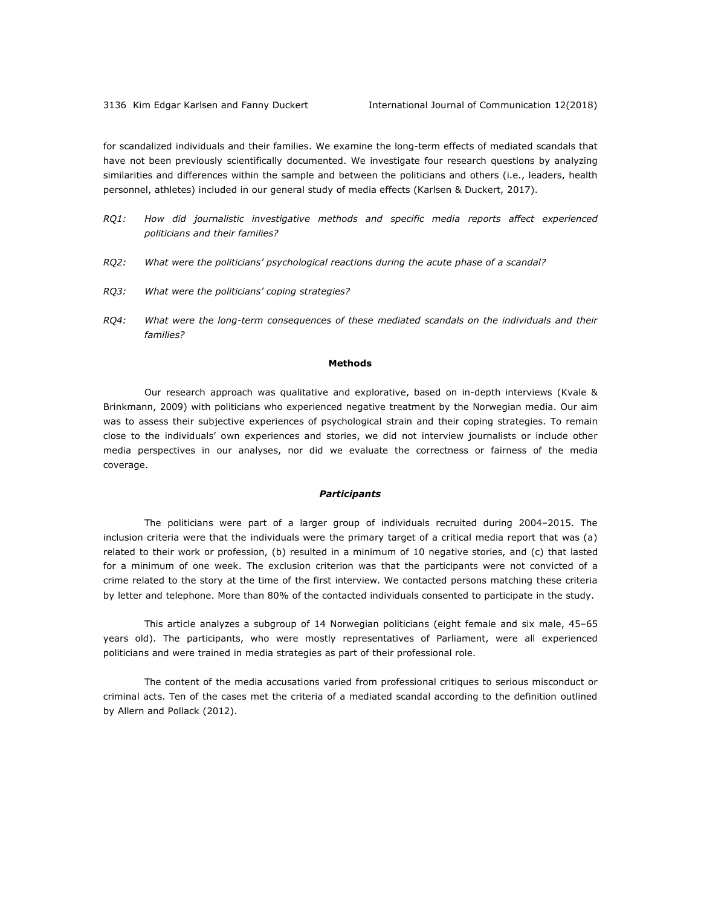for scandalized individuals and their families. We examine the long-term effects of mediated scandals that have not been previously scientifically documented. We investigate four research questions by analyzing similarities and differences within the sample and between the politicians and others (i.e., leaders, health personnel, athletes) included in our general study of media effects (Karlsen & Duckert, 2017).

- *RQ1: How did journalistic investigative methods and specific media reports affect experienced politicians and their families?*
- *RQ2: What were the politicians' psychological reactions during the acute phase of a scandal?*
- *RQ3: What were the politicians' coping strategies?*
- *RQ4: What were the long-term consequences of these mediated scandals on the individuals and their families?*

#### **Methods**

Our research approach was qualitative and explorative, based on in-depth interviews (Kvale & Brinkmann, 2009) with politicians who experienced negative treatment by the Norwegian media. Our aim was to assess their subjective experiences of psychological strain and their coping strategies. To remain close to the individuals' own experiences and stories, we did not interview journalists or include other media perspectives in our analyses, nor did we evaluate the correctness or fairness of the media coverage.

### *Participants*

The politicians were part of a larger group of individuals recruited during 2004–2015. The inclusion criteria were that the individuals were the primary target of a critical media report that was (a) related to their work or profession, (b) resulted in a minimum of 10 negative stories, and (c) that lasted for a minimum of one week. The exclusion criterion was that the participants were not convicted of a crime related to the story at the time of the first interview. We contacted persons matching these criteria by letter and telephone. More than 80% of the contacted individuals consented to participate in the study.

This article analyzes a subgroup of 14 Norwegian politicians (eight female and six male, 45–65 years old). The participants, who were mostly representatives of Parliament, were all experienced politicians and were trained in media strategies as part of their professional role.

The content of the media accusations varied from professional critiques to serious misconduct or criminal acts. Ten of the cases met the criteria of a mediated scandal according to the definition outlined by Allern and Pollack (2012).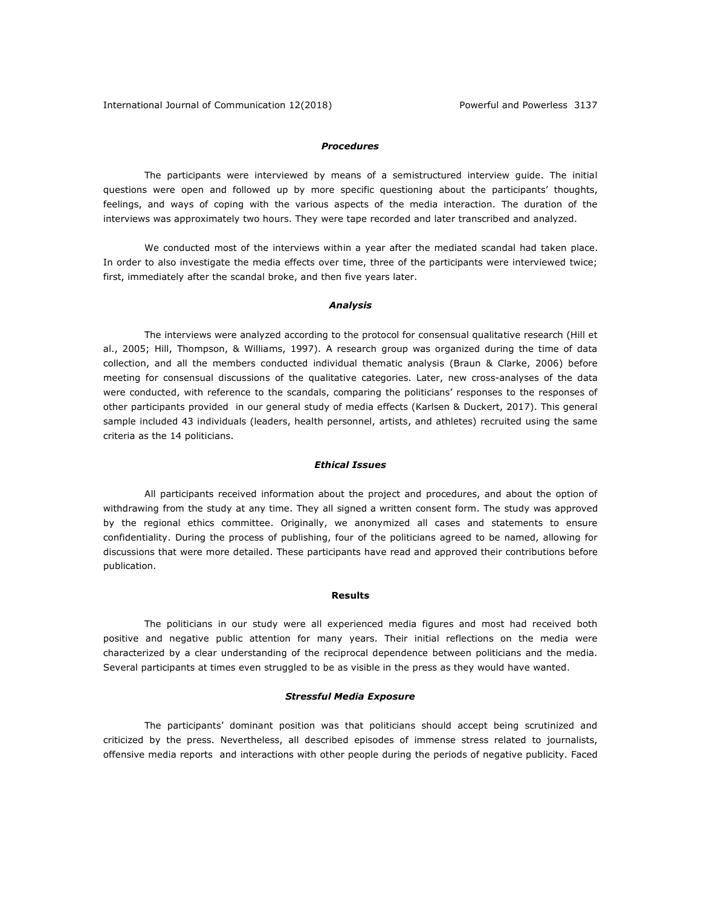### *Procedures*

The participants were interviewed by means of a semistructured interview guide. The initial questions were open and followed up by more specific questioning about the participants' thoughts, feelings, and ways of coping with the various aspects of the media interaction. The duration of the interviews was approximately two hours. They were tape recorded and later transcribed and analyzed.

We conducted most of the interviews within a year after the mediated scandal had taken place. In order to also investigate the media effects over time, three of the participants were interviewed twice; first, immediately after the scandal broke, and then five years later.

### *Analysis*

The interviews were analyzed according to the protocol for consensual qualitative research (Hill et al., 2005; Hill, Thompson, & Williams, 1997). A research group was organized during the time of data collection, and all the members conducted individual thematic analysis (Braun & Clarke, 2006) before meeting for consensual discussions of the qualitative categories. Later, new cross-analyses of the data were conducted, with reference to the scandals, comparing the politicians' responses to the responses of other participants provided in our general study of media effects (Karlsen & Duckert, 2017). This general sample included 43 individuals (leaders, health personnel, artists, and athletes) recruited using the same criteria as the 14 politicians.

### *Ethical Issues*

All participants received information about the project and procedures, and about the option of withdrawing from the study at any time. They all signed a written consent form. The study was approved by the regional ethics committee. Originally, we anonymized all cases and statements to ensure confidentiality. During the process of publishing, four of the politicians agreed to be named, allowing for discussions that were more detailed. These participants have read and approved their contributions before publication.

### **Results**

The politicians in our study were all experienced media figures and most had received both positive and negative public attention for many years. Their initial reflections on the media were characterized by a clear understanding of the reciprocal dependence between politicians and the media. Several participants at times even struggled to be as visible in the press as they would have wanted.

### *Stressful Media Exposure*

The participants' dominant position was that politicians should accept being scrutinized and criticized by the press. Nevertheless, all described episodes of immense stress related to journalists, offensive media reports and interactions with other people during the periods of negative publicity. Faced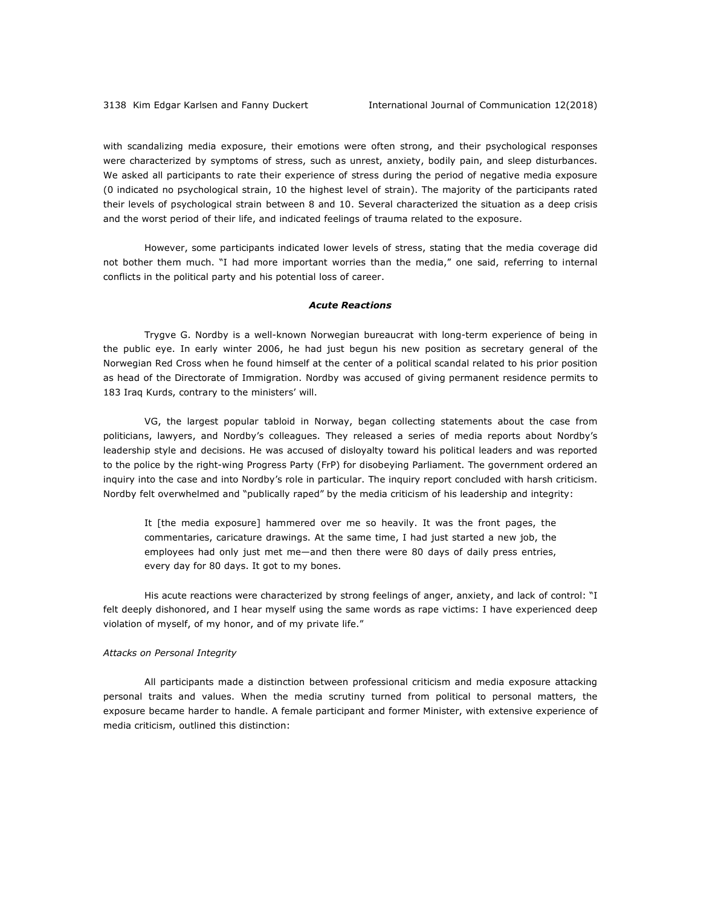with scandalizing media exposure, their emotions were often strong, and their psychological responses were characterized by symptoms of stress, such as unrest, anxiety, bodily pain, and sleep disturbances. We asked all participants to rate their experience of stress during the period of negative media exposure (0 indicated no psychological strain, 10 the highest level of strain). The majority of the participants rated their levels of psychological strain between 8 and 10. Several characterized the situation as a deep crisis and the worst period of their life, and indicated feelings of trauma related to the exposure.

However, some participants indicated lower levels of stress, stating that the media coverage did not bother them much. "I had more important worries than the media," one said, referring to internal conflicts in the political party and his potential loss of career.

### *Acute Reactions*

Trygve G. Nordby is a well-known Norwegian bureaucrat with long-term experience of being in the public eye. In early winter 2006, he had just begun his new position as secretary general of the Norwegian Red Cross when he found himself at the center of a political scandal related to his prior position as head of the Directorate of Immigration. Nordby was accused of giving permanent residence permits to 183 Iraq Kurds, contrary to the ministers' will.

VG, the largest popular tabloid in Norway, began collecting statements about the case from politicians, lawyers, and Nordby's colleagues. They released a series of media reports about Nordby's leadership style and decisions. He was accused of disloyalty toward his political leaders and was reported to the police by the right-wing Progress Party (FrP) for disobeying Parliament. The government ordered an inquiry into the case and into Nordby's role in particular. The inquiry report concluded with harsh criticism. Nordby felt overwhelmed and "publically raped" by the media criticism of his leadership and integrity:

It [the media exposure] hammered over me so heavily. It was the front pages, the commentaries, caricature drawings. At the same time, I had just started a new job, the employees had only just met me—and then there were 80 days of daily press entries, every day for 80 days. It got to my bones.

His acute reactions were characterized by strong feelings of anger, anxiety, and lack of control: "I felt deeply dishonored, and I hear myself using the same words as rape victims: I have experienced deep violation of myself, of my honor, and of my private life."

### *Attacks on Personal Integrity*

All participants made a distinction between professional criticism and media exposure attacking personal traits and values. When the media scrutiny turned from political to personal matters, the exposure became harder to handle. A female participant and former Minister, with extensive experience of media criticism, outlined this distinction: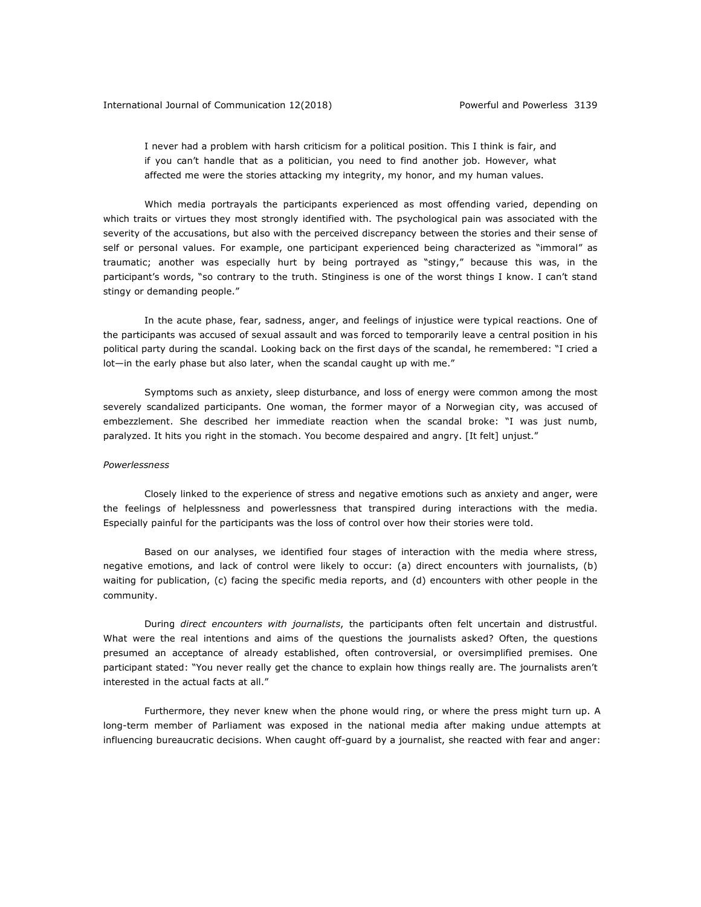I never had a problem with harsh criticism for a political position. This I think is fair, and if you can't handle that as a politician, you need to find another job. However, what affected me were the stories attacking my integrity, my honor, and my human values.

Which media portrayals the participants experienced as most offending varied, depending on which traits or virtues they most strongly identified with. The psychological pain was associated with the severity of the accusations, but also with the perceived discrepancy between the stories and their sense of self or personal values. For example, one participant experienced being characterized as "immoral" as traumatic; another was especially hurt by being portrayed as "stingy," because this was, in the participant's words, "so contrary to the truth. Stinginess is one of the worst things I know. I can't stand stingy or demanding people."

In the acute phase, fear, sadness, anger, and feelings of injustice were typical reactions. One of the participants was accused of sexual assault and was forced to temporarily leave a central position in his political party during the scandal. Looking back on the first days of the scandal, he remembered: "I cried a lot—in the early phase but also later, when the scandal caught up with me."

Symptoms such as anxiety, sleep disturbance, and loss of energy were common among the most severely scandalized participants. One woman, the former mayor of a Norwegian city, was accused of embezzlement. She described her immediate reaction when the scandal broke: "I was just numb, paralyzed. It hits you right in the stomach. You become despaired and angry. [It felt] unjust."

#### *Powerlessness*

Closely linked to the experience of stress and negative emotions such as anxiety and anger, were the feelings of helplessness and powerlessness that transpired during interactions with the media. Especially painful for the participants was the loss of control over how their stories were told.

Based on our analyses, we identified four stages of interaction with the media where stress, negative emotions, and lack of control were likely to occur: (a) direct encounters with journalists, (b) waiting for publication, (c) facing the specific media reports, and (d) encounters with other people in the community.

During *direct encounters with journalists*, the participants often felt uncertain and distrustful. What were the real intentions and aims of the questions the journalists asked? Often, the questions presumed an acceptance of already established, often controversial, or oversimplified premises. One participant stated: "You never really get the chance to explain how things really are. The journalists aren't interested in the actual facts at all."

Furthermore, they never knew when the phone would ring, or where the press might turn up. A long-term member of Parliament was exposed in the national media after making undue attempts at influencing bureaucratic decisions. When caught off-guard by a journalist, she reacted with fear and anger: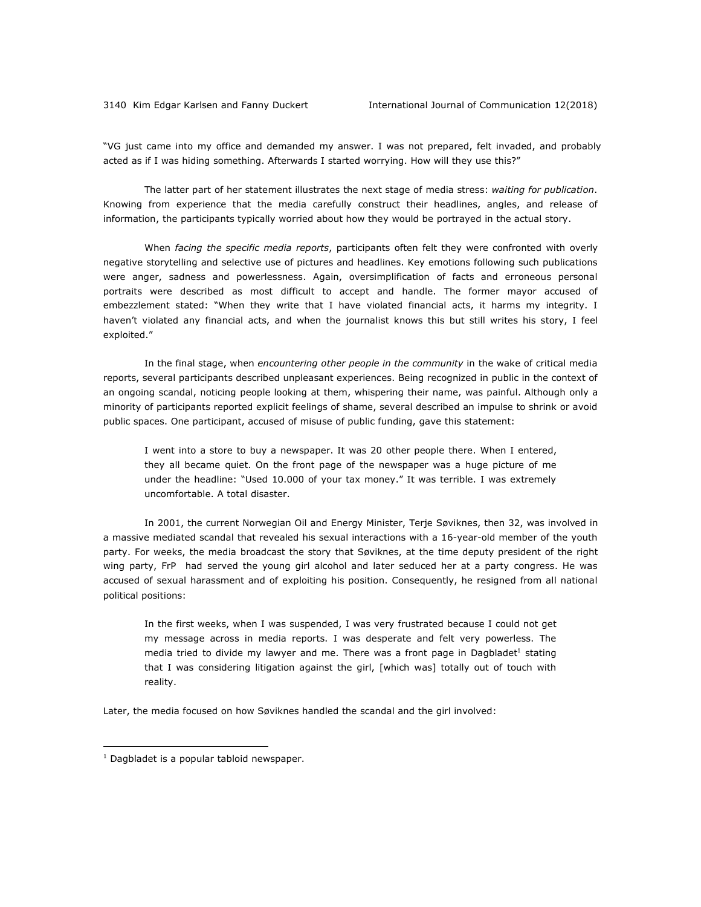"VG just came into my office and demanded my answer. I was not prepared, felt invaded, and probably acted as if I was hiding something. Afterwards I started worrying. How will they use this?"

The latter part of her statement illustrates the next stage of media stress: *waiting for publication*. Knowing from experience that the media carefully construct their headlines, angles, and release of information, the participants typically worried about how they would be portrayed in the actual story.

When *facing the specific media reports*, participants often felt they were confronted with overly negative storytelling and selective use of pictures and headlines. Key emotions following such publications were anger, sadness and powerlessness. Again, oversimplification of facts and erroneous personal portraits were described as most difficult to accept and handle. The former mayor accused of embezzlement stated: "When they write that I have violated financial acts, it harms my integrity. I haven't violated any financial acts, and when the journalist knows this but still writes his story, I feel exploited."

In the final stage, when *encountering other people in the community* in the wake of critical media reports, several participants described unpleasant experiences. Being recognized in public in the context of an ongoing scandal, noticing people looking at them, whispering their name, was painful. Although only a minority of participants reported explicit feelings of shame, several described an impulse to shrink or avoid public spaces. One participant, accused of misuse of public funding, gave this statement:

I went into a store to buy a newspaper. It was 20 other people there. When I entered, they all became quiet. On the front page of the newspaper was a huge picture of me under the headline: "Used 10.000 of your tax money." It was terrible. I was extremely uncomfortable. A total disaster.

In 2001, the current Norwegian Oil and Energy Minister, Terje Søviknes, then 32, was involved in a massive mediated scandal that revealed his sexual interactions with a 16-year-old member of the youth party. For weeks, the media broadcast the story that Søviknes, at the time deputy president of the right wing party, FrP had served the young girl alcohol and later seduced her at a party congress. He was accused of sexual harassment and of exploiting his position. Consequently, he resigned from all national political positions:

In the first weeks, when I was suspended, I was very frustrated because I could not get my message across in media reports. I was desperate and felt very powerless. The media tried to divide my lawyer and me. There was a front page in Dagbladet<sup>1</sup> stating that I was considering litigation against the girl, [which was] totally out of touch with reality.

Later, the media focused on how Søviknes handled the scandal and the girl involved:

1

 $1$  Dagbladet is a popular tabloid newspaper.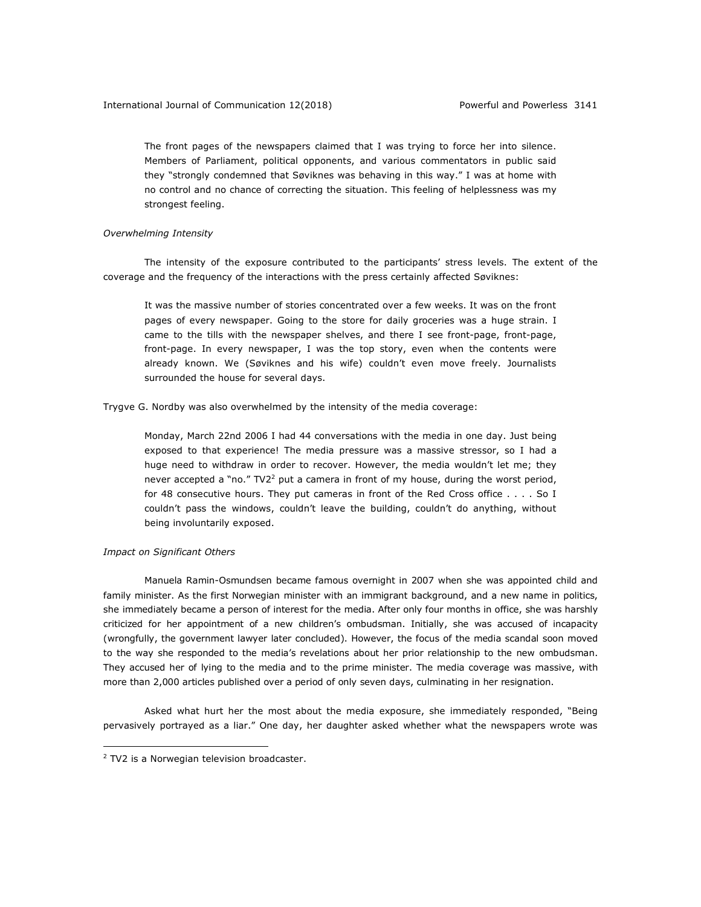The front pages of the newspapers claimed that I was trying to force her into silence. Members of Parliament, political opponents, and various commentators in public said they "strongly condemned that Søviknes was behaving in this way." I was at home with no control and no chance of correcting the situation. This feeling of helplessness was my strongest feeling.

### *Overwhelming Intensity*

The intensity of the exposure contributed to the participants' stress levels. The extent of the coverage and the frequency of the interactions with the press certainly affected Søviknes:

It was the massive number of stories concentrated over a few weeks. It was on the front pages of every newspaper. Going to the store for daily groceries was a huge strain. I came to the tills with the newspaper shelves, and there I see front-page, front-page, front-page. In every newspaper, I was the top story, even when the contents were already known. We (Søviknes and his wife) couldn't even move freely. Journalists surrounded the house for several days.

Trygve G. Nordby was also overwhelmed by the intensity of the media coverage:

Monday, March 22nd 2006 I had 44 conversations with the media in one day. Just being exposed to that experience! The media pressure was a massive stressor, so I had a huge need to withdraw in order to recover. However, the media wouldn't let me; they never accepted a "no."  $TV2^2$  put a camera in front of my house, during the worst period, for 48 consecutive hours. They put cameras in front of the Red Cross office . . . . So I couldn't pass the windows, couldn't leave the building, couldn't do anything, without being involuntarily exposed.

### *Impact on Significant Others*

Manuela Ramin-Osmundsen became famous overnight in 2007 when she was appointed child and family minister. As the first Norwegian minister with an immigrant background, and a new name in politics, she immediately became a person of interest for the media. After only four months in office, she was harshly criticized for her appointment of a new children's ombudsman. Initially, she was accused of incapacity (wrongfully, the government lawyer later concluded). However, the focus of the media scandal soon moved to the way she responded to the media's revelations about her prior relationship to the new ombudsman. They accused her of lying to the media and to the prime minister. The media coverage was massive, with more than 2,000 articles published over a period of only seven days, culminating in her resignation.

Asked what hurt her the most about the media exposure, she immediately responded, "Being pervasively portrayed as a liar." One day, her daughter asked whether what the newspapers wrote was

1

<sup>&</sup>lt;sup>2</sup> TV2 is a Norwegian television broadcaster.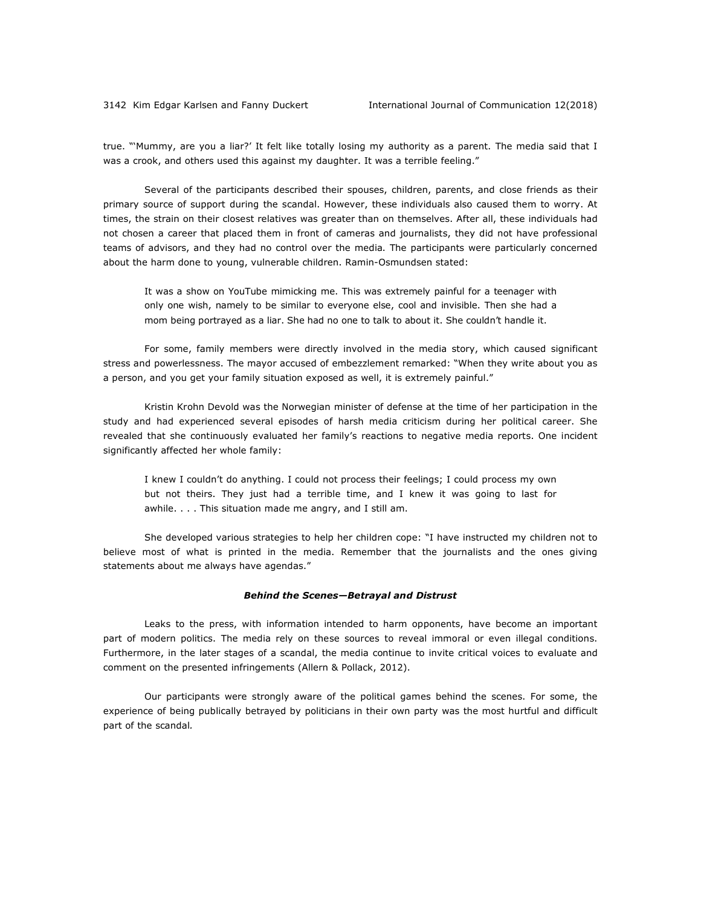true. "'Mummy, are you a liar?' It felt like totally losing my authority as a parent. The media said that I was a crook, and others used this against my daughter. It was a terrible feeling."

Several of the participants described their spouses, children, parents, and close friends as their primary source of support during the scandal. However, these individuals also caused them to worry. At times, the strain on their closest relatives was greater than on themselves. After all, these individuals had not chosen a career that placed them in front of cameras and journalists, they did not have professional teams of advisors, and they had no control over the media. The participants were particularly concerned about the harm done to young, vulnerable children. Ramin-Osmundsen stated:

It was a show on YouTube mimicking me. This was extremely painful for a teenager with only one wish, namely to be similar to everyone else, cool and invisible. Then she had a mom being portrayed as a liar. She had no one to talk to about it. She couldn't handle it.

For some, family members were directly involved in the media story, which caused significant stress and powerlessness. The mayor accused of embezzlement remarked: "When they write about you as a person, and you get your family situation exposed as well, it is extremely painful."

Kristin Krohn Devold was the Norwegian minister of defense at the time of her participation in the study and had experienced several episodes of harsh media criticism during her political career. She revealed that she continuously evaluated her family's reactions to negative media reports. One incident significantly affected her whole family:

I knew I couldn't do anything. I could not process their feelings; I could process my own but not theirs. They just had a terrible time, and I knew it was going to last for awhile. . . . This situation made me angry, and I still am.

She developed various strategies to help her children cope: "I have instructed my children not to believe most of what is printed in the media. Remember that the journalists and the ones giving statements about me always have agendas."

### *Behind the Scenes—Betrayal and Distrust*

Leaks to the press, with information intended to harm opponents, have become an important part of modern politics. The media rely on these sources to reveal immoral or even illegal conditions. Furthermore, in the later stages of a scandal, the media continue to invite critical voices to evaluate and comment on the presented infringements (Allern & Pollack, 2012).

Our participants were strongly aware of the political games behind the scenes. For some, the experience of being publically betrayed by politicians in their own party was the most hurtful and difficult part of the scandal*.*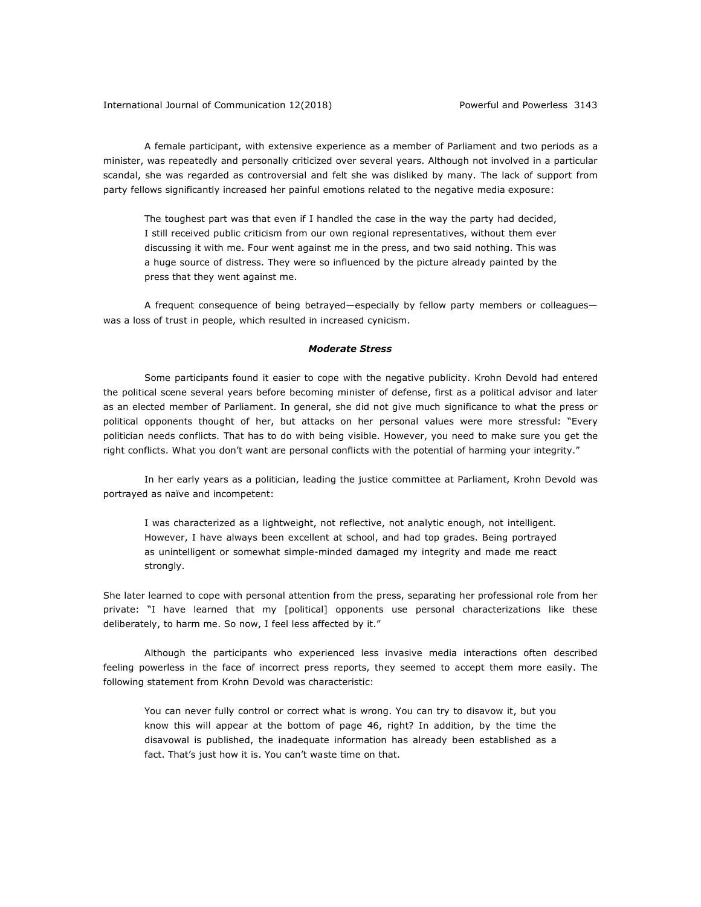A female participant, with extensive experience as a member of Parliament and two periods as a minister, was repeatedly and personally criticized over several years. Although not involved in a particular scandal, she was regarded as controversial and felt she was disliked by many. The lack of support from party fellows significantly increased her painful emotions related to the negative media exposure:

The toughest part was that even if I handled the case in the way the party had decided, I still received public criticism from our own regional representatives, without them ever discussing it with me. Four went against me in the press, and two said nothing. This was a huge source of distress. They were so influenced by the picture already painted by the press that they went against me.

A frequent consequence of being betrayed—especially by fellow party members or colleagues was a loss of trust in people, which resulted in increased cynicism.

### *Moderate Stress*

Some participants found it easier to cope with the negative publicity. Krohn Devold had entered the political scene several years before becoming minister of defense, first as a political advisor and later as an elected member of Parliament. In general, she did not give much significance to what the press or political opponents thought of her, but attacks on her personal values were more stressful: "Every politician needs conflicts. That has to do with being visible. However, you need to make sure you get the right conflicts. What you don't want are personal conflicts with the potential of harming your integrity."

In her early years as a politician, leading the justice committee at Parliament, Krohn Devold was portrayed as naïve and incompetent:

I was characterized as a lightweight, not reflective, not analytic enough, not intelligent. However, I have always been excellent at school, and had top grades. Being portrayed as unintelligent or somewhat simple-minded damaged my integrity and made me react strongly.

She later learned to cope with personal attention from the press, separating her professional role from her private: "I have learned that my [political] opponents use personal characterizations like these deliberately, to harm me. So now, I feel less affected by it."

Although the participants who experienced less invasive media interactions often described feeling powerless in the face of incorrect press reports, they seemed to accept them more easily. The following statement from Krohn Devold was characteristic:

You can never fully control or correct what is wrong. You can try to disavow it, but you know this will appear at the bottom of page 46, right? In addition, by the time the disavowal is published, the inadequate information has already been established as a fact. That's just how it is. You can't waste time on that.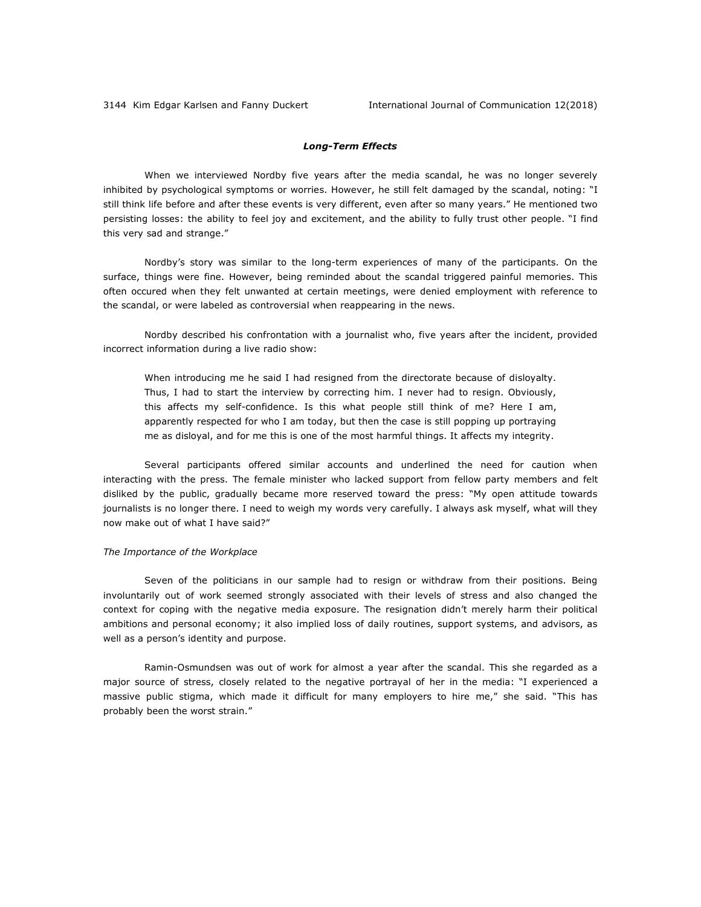### *Long-Term Effects*

When we interviewed Nordby five years after the media scandal, he was no longer severely inhibited by psychological symptoms or worries. However, he still felt damaged by the scandal, noting: "I still think life before and after these events is very different, even after so many years." He mentioned two persisting losses: the ability to feel joy and excitement, and the ability to fully trust other people. "I find this very sad and strange."

Nordby's story was similar to the long-term experiences of many of the participants. On the surface, things were fine. However, being reminded about the scandal triggered painful memories. This often occured when they felt unwanted at certain meetings, were denied employment with reference to the scandal, or were labeled as controversial when reappearing in the news.

Nordby described his confrontation with a journalist who, five years after the incident, provided incorrect information during a live radio show:

When introducing me he said I had resigned from the directorate because of disloyalty. Thus, I had to start the interview by correcting him. I never had to resign. Obviously, this affects my self-confidence. Is this what people still think of me? Here I am, apparently respected for who I am today, but then the case is still popping up portraying me as disloyal, and for me this is one of the most harmful things. It affects my integrity.

Several participants offered similar accounts and underlined the need for caution when interacting with the press. The female minister who lacked support from fellow party members and felt disliked by the public, gradually became more reserved toward the press: "My open attitude towards journalists is no longer there. I need to weigh my words very carefully. I always ask myself, what will they now make out of what I have said?"

### *The Importance of the Workplace*

Seven of the politicians in our sample had to resign or withdraw from their positions. Being involuntarily out of work seemed strongly associated with their levels of stress and also changed the context for coping with the negative media exposure. The resignation didn't merely harm their political ambitions and personal economy; it also implied loss of daily routines, support systems, and advisors, as well as a person's identity and purpose.

Ramin-Osmundsen was out of work for almost a year after the scandal. This she regarded as a major source of stress, closely related to the negative portrayal of her in the media: "I experienced a massive public stigma, which made it difficult for many employers to hire me," she said. "This has probably been the worst strain."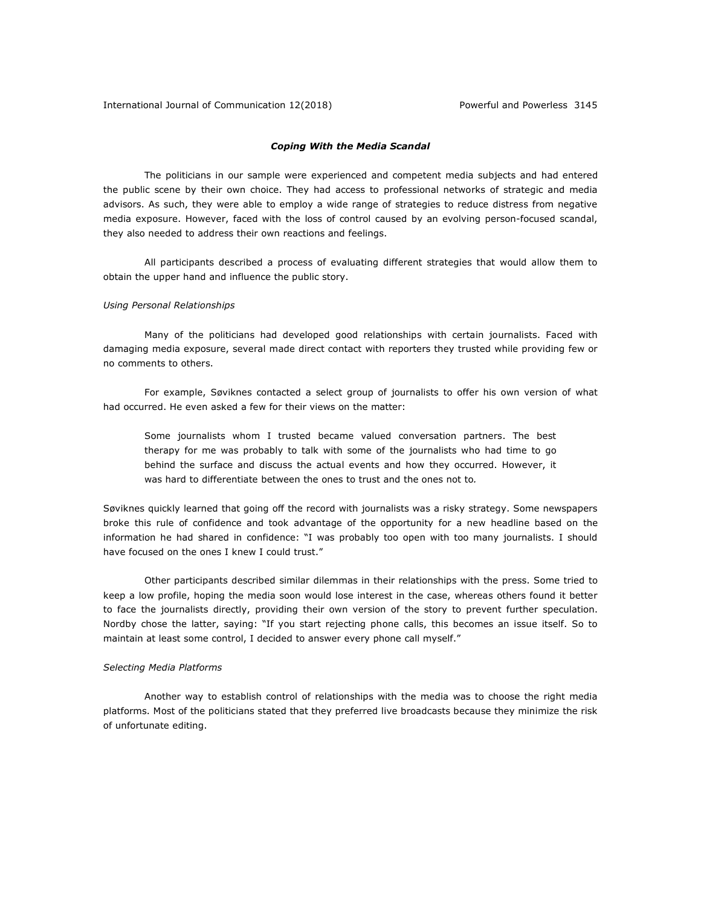### *Coping With the Media Scandal*

The politicians in our sample were experienced and competent media subjects and had entered the public scene by their own choice. They had access to professional networks of strategic and media advisors. As such, they were able to employ a wide range of strategies to reduce distress from negative media exposure. However, faced with the loss of control caused by an evolving person-focused scandal, they also needed to address their own reactions and feelings.

All participants described a process of evaluating different strategies that would allow them to obtain the upper hand and influence the public story.

### *Using Personal Relationships*

Many of the politicians had developed good relationships with certain journalists. Faced with damaging media exposure, several made direct contact with reporters they trusted while providing few or no comments to others.

For example, Søviknes contacted a select group of journalists to offer his own version of what had occurred. He even asked a few for their views on the matter:

Some journalists whom I trusted became valued conversation partners. The best therapy for me was probably to talk with some of the journalists who had time to go behind the surface and discuss the actual events and how they occurred. However, it was hard to differentiate between the ones to trust and the ones not to*.*

Søviknes quickly learned that going off the record with journalists was a risky strategy. Some newspapers broke this rule of confidence and took advantage of the opportunity for a new headline based on the information he had shared in confidence: "I was probably too open with too many journalists. I should have focused on the ones I knew I could trust."

Other participants described similar dilemmas in their relationships with the press. Some tried to keep a low profile, hoping the media soon would lose interest in the case, whereas others found it better to face the journalists directly, providing their own version of the story to prevent further speculation. Nordby chose the latter, saying: "If you start rejecting phone calls, this becomes an issue itself. So to maintain at least some control, I decided to answer every phone call myself."

### *Selecting Media Platforms*

Another way to establish control of relationships with the media was to choose the right media platforms. Most of the politicians stated that they preferred live broadcasts because they minimize the risk of unfortunate editing.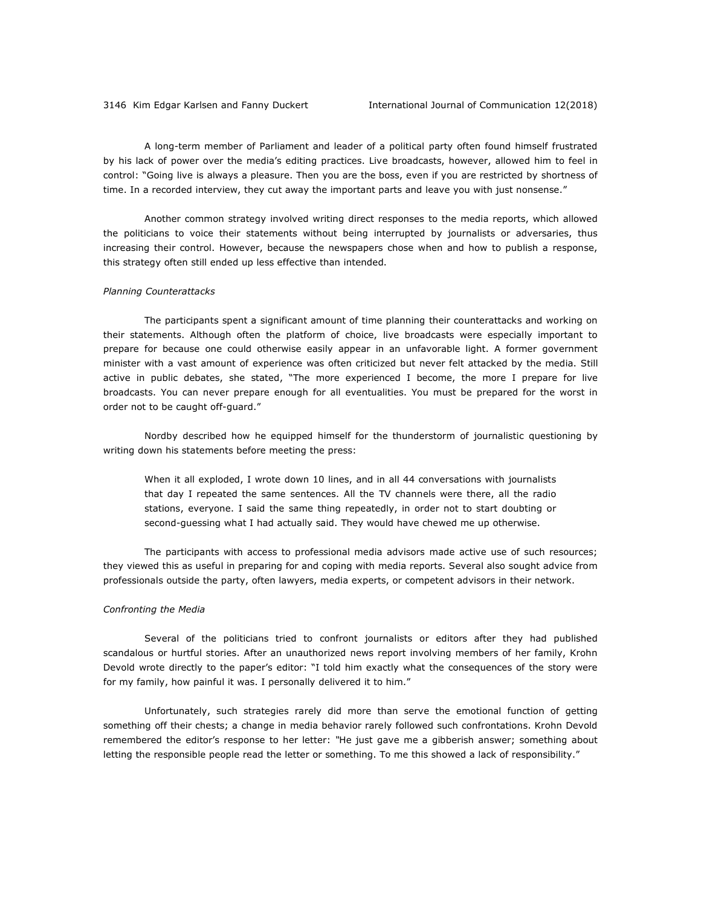A long-term member of Parliament and leader of a political party often found himself frustrated by his lack of power over the media's editing practices. Live broadcasts, however, allowed him to feel in control: "Going live is always a pleasure. Then you are the boss, even if you are restricted by shortness of time. In a recorded interview, they cut away the important parts and leave you with just nonsense."

Another common strategy involved writing direct responses to the media reports, which allowed the politicians to voice their statements without being interrupted by journalists or adversaries, thus increasing their control. However, because the newspapers chose when and how to publish a response, this strategy often still ended up less effective than intended.

### *Planning Counterattacks*

The participants spent a significant amount of time planning their counterattacks and working on their statements. Although often the platform of choice, live broadcasts were especially important to prepare for because one could otherwise easily appear in an unfavorable light. A former government minister with a vast amount of experience was often criticized but never felt attacked by the media. Still active in public debates, she stated, "The more experienced I become, the more I prepare for live broadcasts. You can never prepare enough for all eventualities. You must be prepared for the worst in order not to be caught off-guard."

Nordby described how he equipped himself for the thunderstorm of journalistic questioning by writing down his statements before meeting the press:

When it all exploded, I wrote down 10 lines, and in all 44 conversations with journalists that day I repeated the same sentences. All the TV channels were there, all the radio stations, everyone. I said the same thing repeatedly, in order not to start doubting or second-guessing what I had actually said. They would have chewed me up otherwise.

The participants with access to professional media advisors made active use of such resources; they viewed this as useful in preparing for and coping with media reports. Several also sought advice from professionals outside the party, often lawyers, media experts, or competent advisors in their network.

### *Confronting the Media*

Several of the politicians tried to confront journalists or editors after they had published scandalous or hurtful stories. After an unauthorized news report involving members of her family, Krohn Devold wrote directly to the paper's editor: "I told him exactly what the consequences of the story were for my family, how painful it was. I personally delivered it to him."

Unfortunately, such strategies rarely did more than serve the emotional function of getting something off their chests; a change in media behavior rarely followed such confrontations. Krohn Devold remembered the editor's response to her letter: *"*He just gave me a gibberish answer; something about letting the responsible people read the letter or something. To me this showed a lack of responsibility."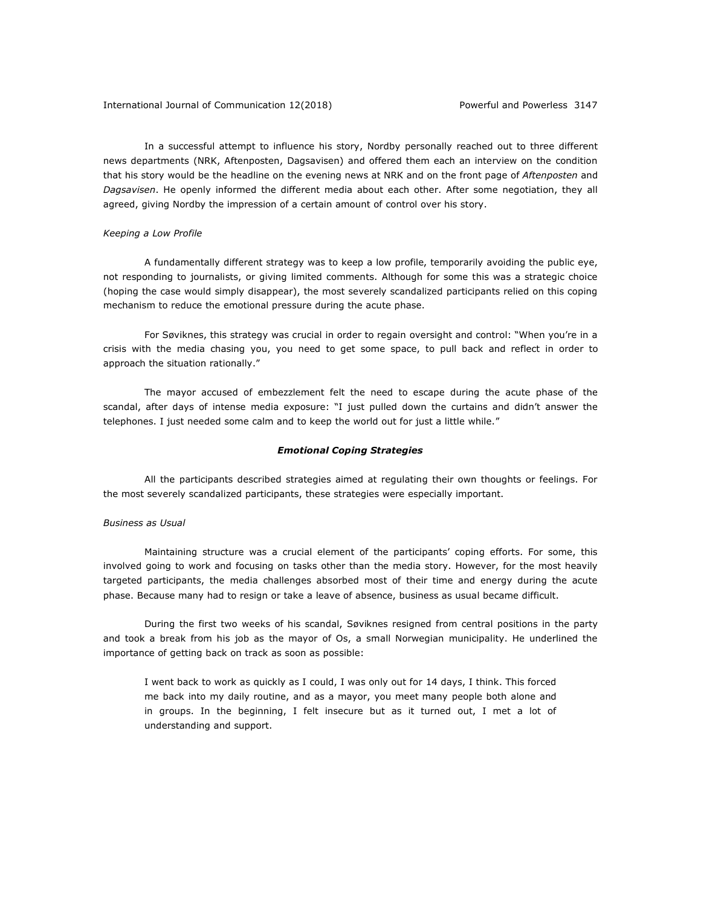In a successful attempt to influence his story, Nordby personally reached out to three different news departments (NRK, Aftenposten, Dagsavisen) and offered them each an interview on the condition that his story would be the headline on the evening news at NRK and on the front page of *Aftenposten* and *Dagsavisen*. He openly informed the different media about each other. After some negotiation, they all agreed, giving Nordby the impression of a certain amount of control over his story.

### *Keeping a Low Profile*

A fundamentally different strategy was to keep a low profile, temporarily avoiding the public eye, not responding to journalists, or giving limited comments. Although for some this was a strategic choice (hoping the case would simply disappear), the most severely scandalized participants relied on this coping mechanism to reduce the emotional pressure during the acute phase.

For Søviknes, this strategy was crucial in order to regain oversight and control: "When you're in a crisis with the media chasing you, you need to get some space, to pull back and reflect in order to approach the situation rationally."

The mayor accused of embezzlement felt the need to escape during the acute phase of the scandal, after days of intense media exposure: "I just pulled down the curtains and didn't answer the telephones. I just needed some calm and to keep the world out for just a little while."

### *Emotional Coping Strategies*

All the participants described strategies aimed at regulating their own thoughts or feelings. For the most severely scandalized participants, these strategies were especially important.

### *Business as Usual*

Maintaining structure was a crucial element of the participants' coping efforts. For some, this involved going to work and focusing on tasks other than the media story. However, for the most heavily targeted participants, the media challenges absorbed most of their time and energy during the acute phase. Because many had to resign or take a leave of absence, business as usual became difficult.

During the first two weeks of his scandal, Søviknes resigned from central positions in the party and took a break from his job as the mayor of Os, a small Norwegian municipality. He underlined the importance of getting back on track as soon as possible:

I went back to work as quickly as I could, I was only out for 14 days, I think. This forced me back into my daily routine, and as a mayor, you meet many people both alone and in groups. In the beginning, I felt insecure but as it turned out, I met a lot of understanding and support.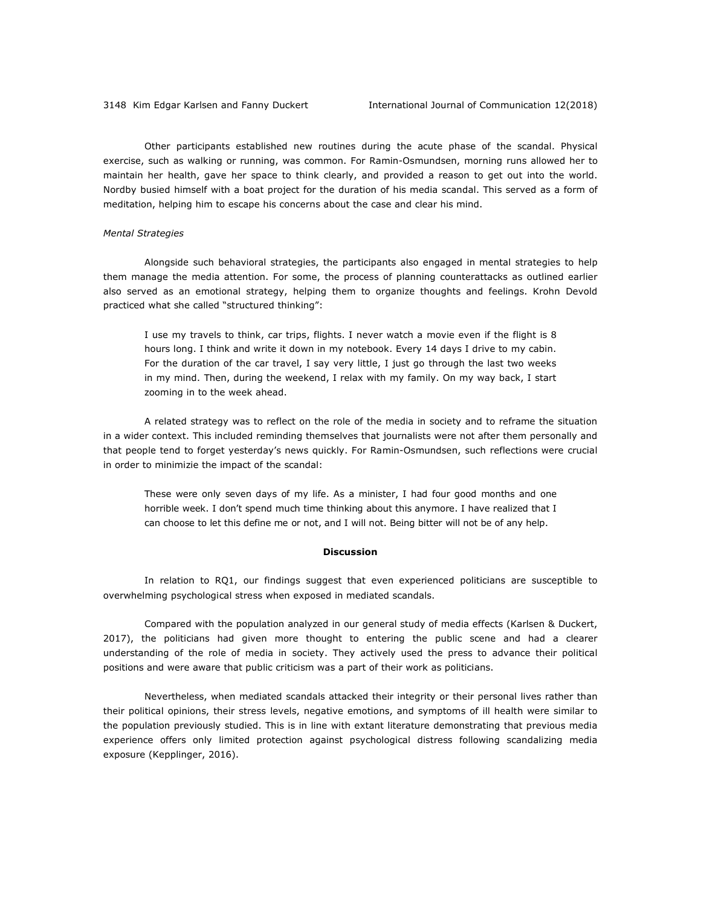Other participants established new routines during the acute phase of the scandal. Physical exercise, such as walking or running, was common. For Ramin-Osmundsen, morning runs allowed her to maintain her health, gave her space to think clearly, and provided a reason to get out into the world. Nordby busied himself with a boat project for the duration of his media scandal. This served as a form of meditation, helping him to escape his concerns about the case and clear his mind.

### *Mental Strategies*

Alongside such behavioral strategies, the participants also engaged in mental strategies to help them manage the media attention. For some, the process of planning counterattacks as outlined earlier also served as an emotional strategy, helping them to organize thoughts and feelings. Krohn Devold practiced what she called "structured thinking":

I use my travels to think, car trips, flights. I never watch a movie even if the flight is 8 hours long. I think and write it down in my notebook. Every 14 days I drive to my cabin. For the duration of the car travel, I say very little, I just go through the last two weeks in my mind. Then, during the weekend, I relax with my family. On my way back, I start zooming in to the week ahead.

A related strategy was to reflect on the role of the media in society and to reframe the situation in a wider context. This included reminding themselves that journalists were not after them personally and that people tend to forget yesterday's news quickly. For Ramin-Osmundsen, such reflections were crucial in order to minimizie the impact of the scandal:

These were only seven days of my life. As a minister, I had four good months and one horrible week. I don't spend much time thinking about this anymore. I have realized that I can choose to let this define me or not, and I will not. Being bitter will not be of any help.

### **Discussion**

In relation to RQ1, our findings suggest that even experienced politicians are susceptible to overwhelming psychological stress when exposed in mediated scandals.

Compared with the population analyzed in our general study of media effects (Karlsen & Duckert, 2017), the politicians had given more thought to entering the public scene and had a clearer understanding of the role of media in society. They actively used the press to advance their political positions and were aware that public criticism was a part of their work as politicians.

Nevertheless, when mediated scandals attacked their integrity or their personal lives rather than their political opinions, their stress levels, negative emotions, and symptoms of ill health were similar to the population previously studied. This is in line with extant literature demonstrating that previous media experience offers only limited protection against psychological distress following scandalizing media exposure (Kepplinger, 2016).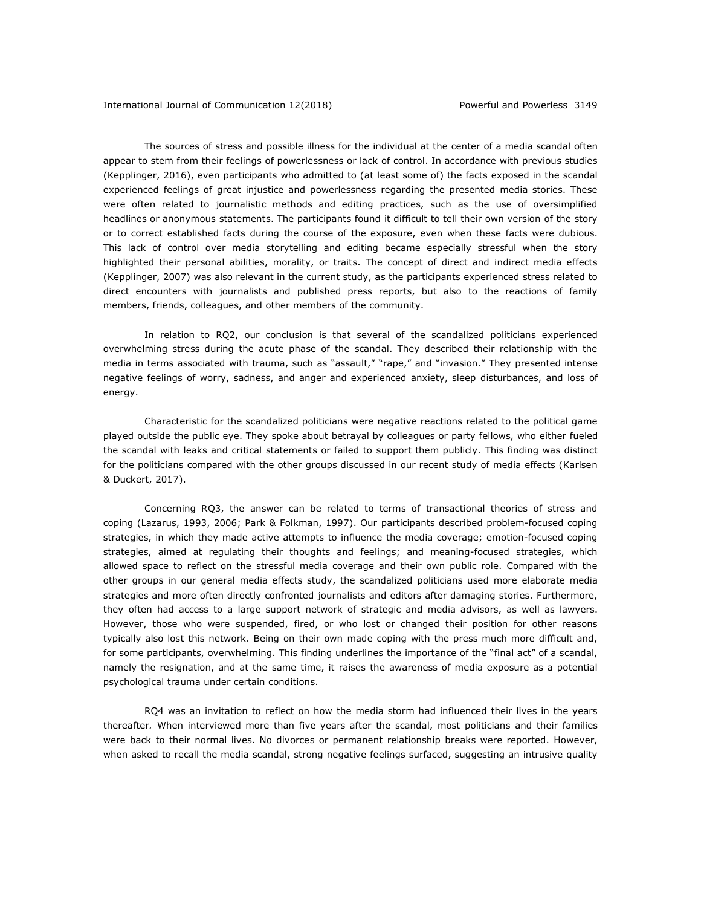The sources of stress and possible illness for the individual at the center of a media scandal often appear to stem from their feelings of powerlessness or lack of control. In accordance with previous studies (Kepplinger, 2016), even participants who admitted to (at least some of) the facts exposed in the scandal experienced feelings of great injustice and powerlessness regarding the presented media stories. These were often related to journalistic methods and editing practices, such as the use of oversimplified headlines or anonymous statements. The participants found it difficult to tell their own version of the story or to correct established facts during the course of the exposure, even when these facts were dubious. This lack of control over media storytelling and editing became especially stressful when the story highlighted their personal abilities, morality, or traits. The concept of direct and indirect media effects (Kepplinger, 2007) was also relevant in the current study, as the participants experienced stress related to direct encounters with journalists and published press reports, but also to the reactions of family members, friends, colleagues, and other members of the community.

In relation to RQ2, our conclusion is that several of the scandalized politicians experienced overwhelming stress during the acute phase of the scandal. They described their relationship with the media in terms associated with trauma, such as "assault," "rape," and "invasion." They presented intense negative feelings of worry, sadness, and anger and experienced anxiety, sleep disturbances, and loss of energy.

Characteristic for the scandalized politicians were negative reactions related to the political game played outside the public eye. They spoke about betrayal by colleagues or party fellows, who either fueled the scandal with leaks and critical statements or failed to support them publicly. This finding was distinct for the politicians compared with the other groups discussed in our recent study of media effects (Karlsen & Duckert, 2017).

Concerning RQ3, the answer can be related to terms of transactional theories of stress and coping (Lazarus, 1993, 2006; Park & Folkman, 1997). Our participants described problem-focused coping strategies, in which they made active attempts to influence the media coverage; emotion-focused coping strategies, aimed at regulating their thoughts and feelings; and meaning-focused strategies, which allowed space to reflect on the stressful media coverage and their own public role. Compared with the other groups in our general media effects study, the scandalized politicians used more elaborate media strategies and more often directly confronted journalists and editors after damaging stories. Furthermore, they often had access to a large support network of strategic and media advisors, as well as lawyers. However, those who were suspended, fired, or who lost or changed their position for other reasons typically also lost this network. Being on their own made coping with the press much more difficult and, for some participants, overwhelming. This finding underlines the importance of the "final act" of a scandal, namely the resignation, and at the same time, it raises the awareness of media exposure as a potential psychological trauma under certain conditions.

RQ4 was an invitation to reflect on how the media storm had influenced their lives in the years thereafter*.* When interviewed more than five years after the scandal, most politicians and their families were back to their normal lives. No divorces or permanent relationship breaks were reported. However, when asked to recall the media scandal, strong negative feelings surfaced, suggesting an intrusive quality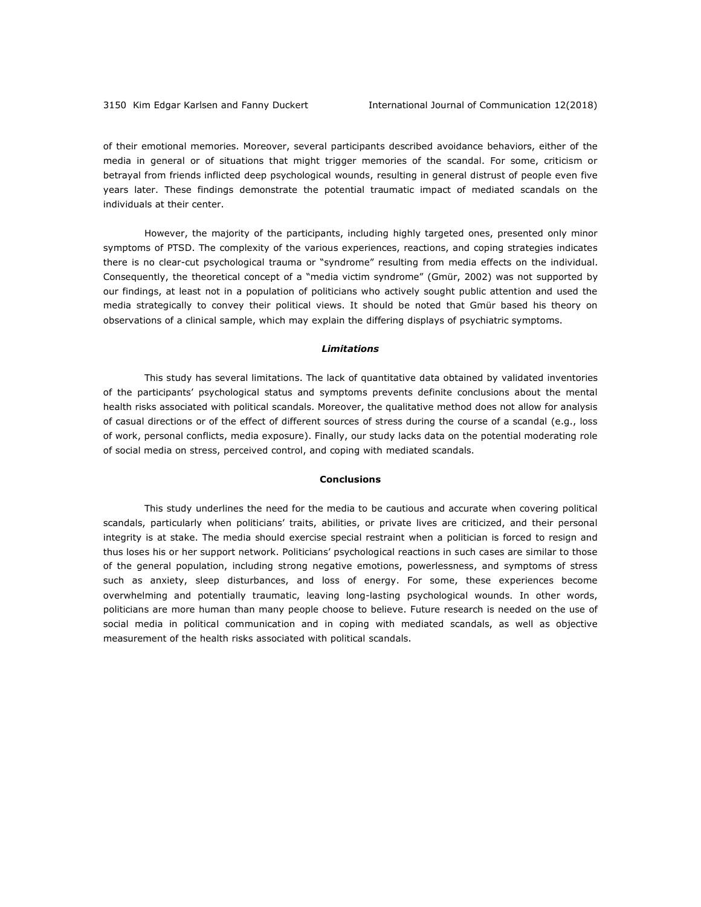of their emotional memories. Moreover, several participants described avoidance behaviors, either of the media in general or of situations that might trigger memories of the scandal. For some, criticism or betrayal from friends inflicted deep psychological wounds, resulting in general distrust of people even five years later. These findings demonstrate the potential traumatic impact of mediated scandals on the individuals at their center.

However, the majority of the participants, including highly targeted ones, presented only minor symptoms of PTSD. The complexity of the various experiences, reactions, and coping strategies indicates there is no clear-cut psychological trauma or "syndrome" resulting from media effects on the individual. Consequently, the theoretical concept of a "media victim syndrome" (Gmür, 2002) was not supported by our findings, at least not in a population of politicians who actively sought public attention and used the media strategically to convey their political views. It should be noted that Gmür based his theory on observations of a clinical sample, which may explain the differing displays of psychiatric symptoms.

### *Limitations*

This study has several limitations. The lack of quantitative data obtained by validated inventories of the participants' psychological status and symptoms prevents definite conclusions about the mental health risks associated with political scandals. Moreover, the qualitative method does not allow for analysis of casual directions or of the effect of different sources of stress during the course of a scandal (e.g., loss of work, personal conflicts, media exposure). Finally, our study lacks data on the potential moderating role of social media on stress, perceived control, and coping with mediated scandals.

### **Conclusions**

This study underlines the need for the media to be cautious and accurate when covering political scandals, particularly when politicians' traits, abilities, or private lives are criticized, and their personal integrity is at stake. The media should exercise special restraint when a politician is forced to resign and thus loses his or her support network. Politicians' psychological reactions in such cases are similar to those of the general population, including strong negative emotions, powerlessness, and symptoms of stress such as anxiety, sleep disturbances, and loss of energy. For some, these experiences become overwhelming and potentially traumatic, leaving long-lasting psychological wounds. In other words, politicians are more human than many people choose to believe. Future research is needed on the use of social media in political communication and in coping with mediated scandals, as well as objective measurement of the health risks associated with political scandals.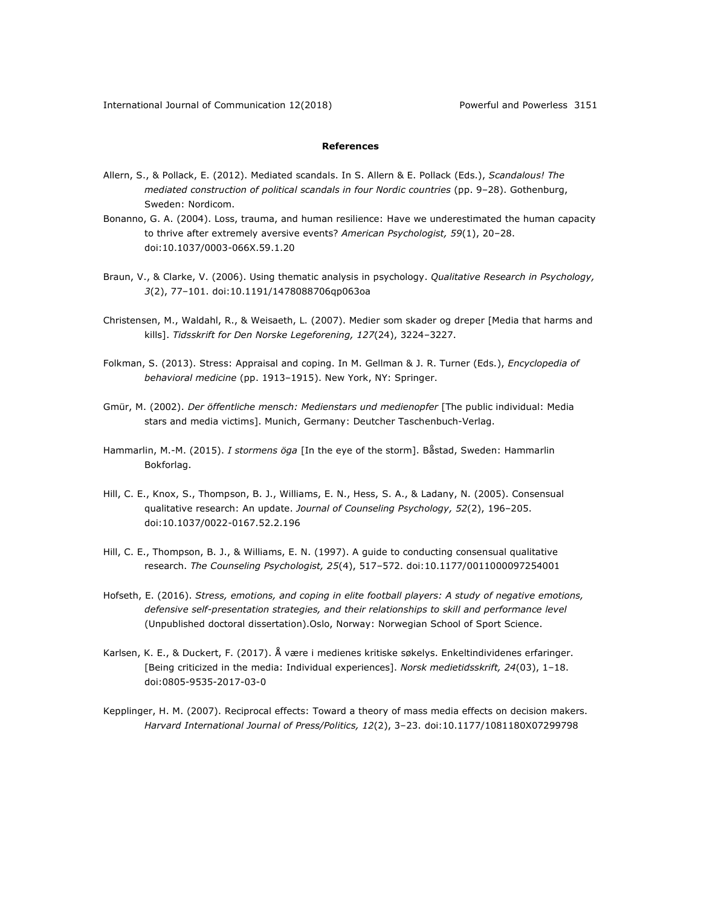### **References**

- Allern, S., & Pollack, E. (2012). Mediated scandals. In S. Allern & E. Pollack (Eds.), *Scandalous! The mediated construction of political scandals in four Nordic countries* (pp. 9–28). Gothenburg, Sweden: Nordicom.
- Bonanno, G. A. (2004). Loss, trauma, and human resilience: Have we underestimated the human capacity to thrive after extremely aversive events? *American Psychologist, 59*(1), 20–28. doi:10.1037/0003-066X.59.1.20
- Braun, V., & Clarke, V. (2006). Using thematic analysis in psychology. *Qualitative Research in Psychology, 3*(2), 77–101. doi:10.1191/1478088706qp063oa
- Christensen, M., Waldahl, R., & Weisaeth, L. (2007). Medier som skader og dreper [Media that harms and kills]. *Tidsskrift for Den Norske Legeforening, 127*(24), 3224–3227.
- Folkman, S. (2013). Stress: Appraisal and coping. In M. Gellman & J. R. Turner (Eds.), *Encyclopedia of behavioral medicine* (pp. 1913–1915). New York, NY: Springer.
- Gmür, M. (2002). *Der öffentliche mensch: Medienstars und medienopfer* [The public individual: Media stars and media victims]. Munich, Germany: Deutcher Taschenbuch-Verlag.
- Hammarlin, M.-M. (2015). *I stormens öga* [In the eye of the storm]. Båstad, Sweden: Hammarlin Bokforlag.
- Hill, C. E., Knox, S., Thompson, B. J., Williams, E. N., Hess, S. A., & Ladany, N. (2005). Consensual qualitative research: An update. *Journal of Counseling Psychology, 52*(2), 196–205. doi:10.1037/0022-0167.52.2.196
- Hill, C. E., Thompson, B. J., & Williams, E. N. (1997). A guide to conducting consensual qualitative research. *The Counseling Psychologist, 25*(4), 517–572. doi:10.1177/0011000097254001
- Hofseth, E. (2016). *Stress, emotions, and coping in elite football players: A study of negative emotions, defensive self-presentation strategies, and their relationships to skill and performance level* (Unpublished doctoral dissertation).Oslo, Norway: Norwegian School of Sport Science.
- Karlsen, K. E., & Duckert, F. (2017). Å være i medienes kritiske søkelys. Enkeltindividenes erfaringer. [Being criticized in the media: Individual experiences]. *Norsk medietidsskrift, 24*(03), 1–18. doi:0805-9535-2017-03-0
- Kepplinger, H. M. (2007). Reciprocal effects: Toward a theory of mass media effects on decision makers. *Harvard International Journal of Press/Politics, 12*(2), 3–23. doi:10.1177/1081180X07299798